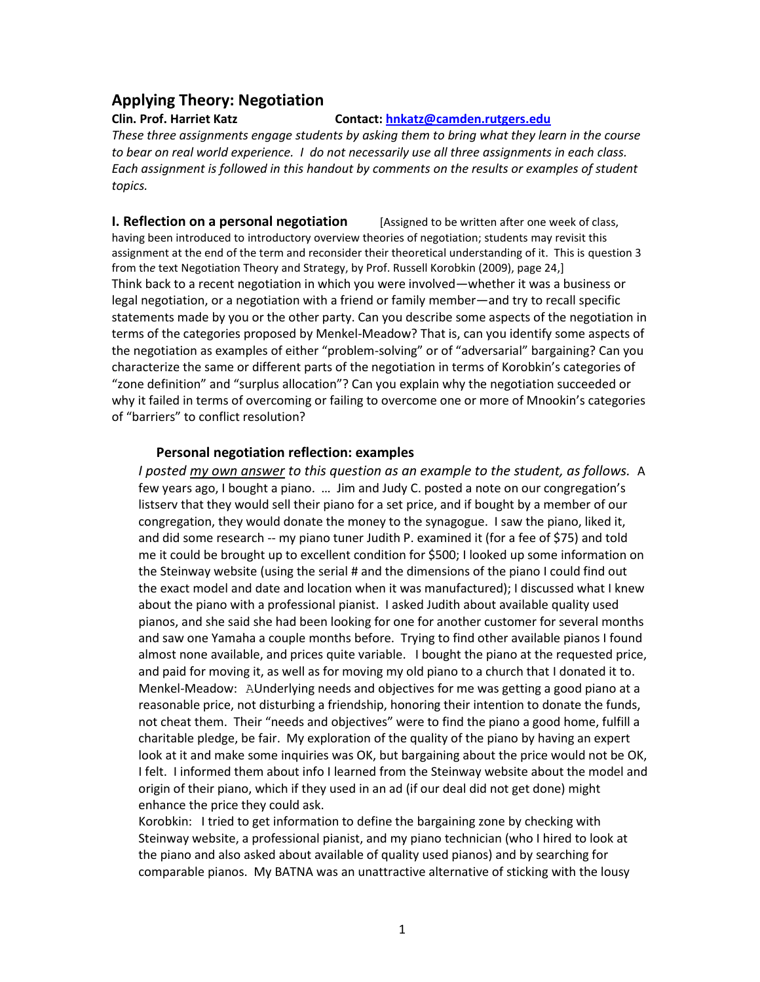# **Applying Theory: Negotiation**

#### **Clin. Prof. Harriet Katz Contact: [hnkatz@camden.rutgers.edu](mailto:hnkatz@camden.rutgers.edu)**

*These three assignments engage students by asking them to bring what they learn in the course to bear on real world experience. I do not necessarily use all three assignments in each class. Each assignment is followed in this handout by comments on the results or examples of student topics.*

**I. Reflection on a personal negotiation** [Assigned to be written after one week of class, having been introduced to introductory overview theories of negotiation; students may revisit this assignment at the end of the term and reconsider their theoretical understanding of it. This is question 3 from th*e* text Negotiation Theory and Strategy, by Prof. Russell Korobkin (2009), page 24,] Think back to a recent negotiation in which you were involved—whether it was a business or legal negotiation, or a negotiation with a friend or family member—and try to recall specific statements made by you or the other party. Can you describe some aspects of the negotiation in terms of the categories proposed by Menkel-Meadow? That is, can you identify some aspects of the negotiation as examples of either "problem-solving" or of "adversarial" bargaining? Can you characterize the same or different parts of the negotiation in terms of Korobkin's categories of "zone definition" and "surplus allocation"? Can you explain why the negotiation succeeded or why it failed in terms of overcoming or failing to overcome one or more of Mnookin's categories of "barriers" to conflict resolution?

### **Personal negotiation reflection: examples**

*I posted my own answer to this question as an example to the student, as follows.* A few years ago, I bought a piano. … Jim and Judy C. posted a note on our congregation's listserv that they would sell their piano for a set price, and if bought by a member of our congregation, they would donate the money to the synagogue. I saw the piano, liked it, and did some research -- my piano tuner Judith P. examined it (for a fee of \$75) and told me it could be brought up to excellent condition for \$500; I looked up some information on the Steinway website (using the serial # and the dimensions of the piano I could find out the exact model and date and location when it was manufactured); I discussed what I knew about the piano with a professional pianist. I asked Judith about available quality used pianos, and she said she had been looking for one for another customer for several months and saw one Yamaha a couple months before. Trying to find other available pianos I found almost none available, and prices quite variable. I bought the piano at the requested price, and paid for moving it, as well as for moving my old piano to a church that I donated it to. Menkel-Meadow: AUnderlying needs and objectives for me was getting a good piano at a reasonable price, not disturbing a friendship, honoring their intention to donate the funds, not cheat them. Their "needs and objectives" were to find the piano a good home, fulfill a charitable pledge, be fair. My exploration of the quality of the piano by having an expert look at it and make some inquiries was OK, but bargaining about the price would not be OK, I felt. I informed them about info I learned from the Steinway website about the model and origin of their piano, which if they used in an ad (if our deal did not get done) might enhance the price they could ask.

Korobkin: I tried to get information to define the bargaining zone by checking with Steinway website, a professional pianist, and my piano technician (who I hired to look at the piano and also asked about available of quality used pianos) and by searching for comparable pianos. My BATNA was an unattractive alternative of sticking with the lousy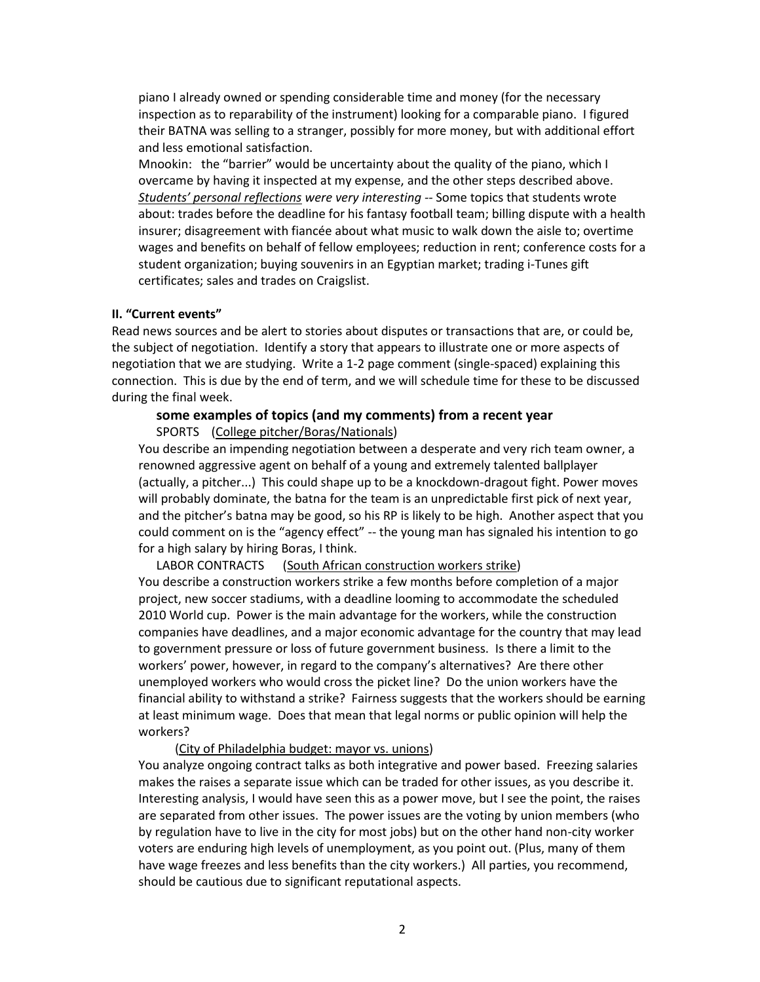piano I already owned or spending considerable time and money (for the necessary inspection as to reparability of the instrument) looking for a comparable piano. I figured their BATNA was selling to a stranger, possibly for more money, but with additional effort and less emotional satisfaction.

Mnookin: the "barrier" would be uncertainty about the quality of the piano, which I overcame by having it inspected at my expense, and the other steps described above. *Students' personal reflections were very interesting --* Some topics that students wrote about: trades before the deadline for his fantasy football team; billing dispute with a health insurer; disagreement with fiancée about what music to walk down the aisle to; overtime wages and benefits on behalf of fellow employees; reduction in rent; conference costs for a student organization; buying souvenirs in an Egyptian market; trading i-Tunes gift certificates; sales and trades on Craigslist.

#### **II. "Current events"**

Read news sources and be alert to stories about disputes or transactions that are, or could be, the subject of negotiation. Identify a story that appears to illustrate one or more aspects of negotiation that we are studying. Write a 1-2 page comment (single-spaced) explaining this connection. This is due by the end of term, and we will schedule time for these to be discussed during the final week.

## **some examples of topics (and my comments) from a recent year**

SPORTS (College pitcher/Boras/Nationals)

You describe an impending negotiation between a desperate and very rich team owner, a renowned aggressive agent on behalf of a young and extremely talented ballplayer (actually, a pitcher...) This could shape up to be a knockdown-dragout fight. Power moves will probably dominate, the batna for the team is an unpredictable first pick of next year, and the pitcher's batna may be good, so his RP is likely to be high. Another aspect that you could comment on is the "agency effect" -- the young man has signaled his intention to go for a high salary by hiring Boras, I think.

LABOR CONTRACTS (South African construction workers strike) You describe a construction workers strike a few months before completion of a major project, new soccer stadiums, with a deadline looming to accommodate the scheduled 2010 World cup. Power is the main advantage for the workers, while the construction companies have deadlines, and a major economic advantage for the country that may lead to government pressure or loss of future government business. Is there a limit to the workers' power, however, in regard to the company's alternatives? Are there other unemployed workers who would cross the picket line? Do the union workers have the financial ability to withstand a strike? Fairness suggests that the workers should be earning at least minimum wage. Does that mean that legal norms or public opinion will help the workers?

(City of Philadelphia budget: mayor vs. unions)

You analyze ongoing contract talks as both integrative and power based. Freezing salaries makes the raises a separate issue which can be traded for other issues, as you describe it. Interesting analysis, I would have seen this as a power move, but I see the point, the raises are separated from other issues. The power issues are the voting by union members (who by regulation have to live in the city for most jobs) but on the other hand non-city worker voters are enduring high levels of unemployment, as you point out. (Plus, many of them have wage freezes and less benefits than the city workers.) All parties, you recommend, should be cautious due to significant reputational aspects.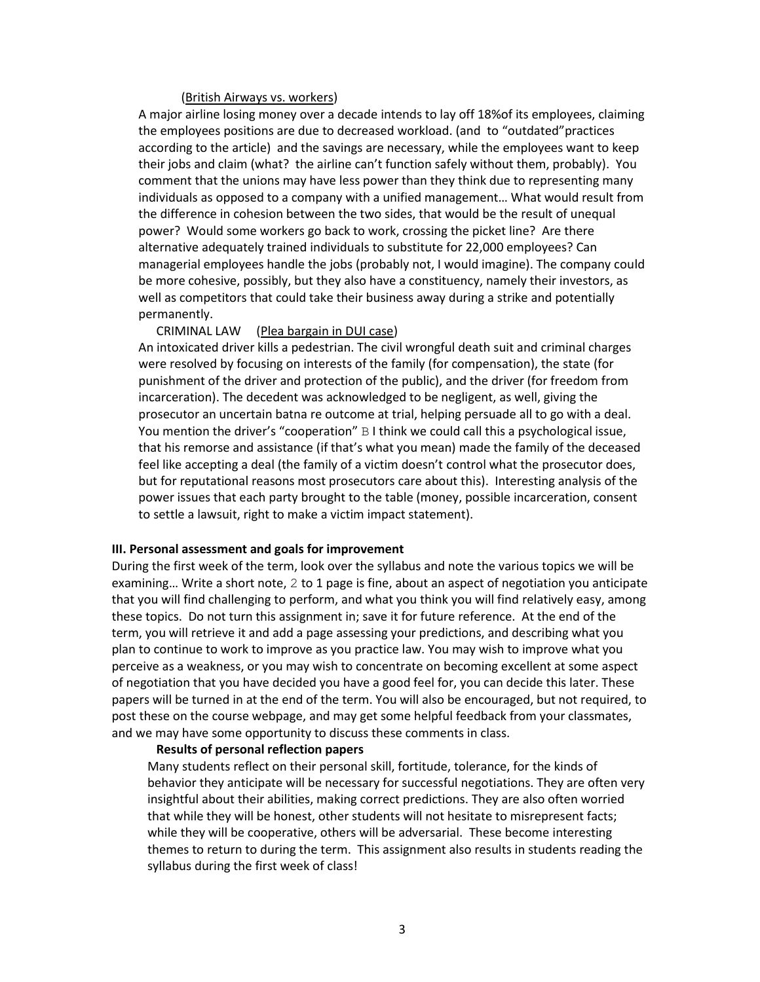#### (British Airways vs. workers)

A major airline losing money over a decade intends to lay off 18%of its employees, claiming the employees positions are due to decreased workload. (and to "outdated"practices according to the article) and the savings are necessary, while the employees want to keep their jobs and claim (what? the airline can't function safely without them, probably). You comment that the unions may have less power than they think due to representing many individuals as opposed to a company with a unified management… What would result from the difference in cohesion between the two sides, that would be the result of unequal power? Would some workers go back to work, crossing the picket line? Are there alternative adequately trained individuals to substitute for 22,000 employees? Can managerial employees handle the jobs (probably not, I would imagine). The company could be more cohesive, possibly, but they also have a constituency, namely their investors, as well as competitors that could take their business away during a strike and potentially permanently.

### CRIMINAL LAW (Plea bargain in DUI case)

An intoxicated driver kills a pedestrian. The civil wrongful death suit and criminal charges were resolved by focusing on interests of the family (for compensation), the state (for punishment of the driver and protection of the public), and the driver (for freedom from incarceration). The decedent was acknowledged to be negligent, as well, giving the prosecutor an uncertain batna re outcome at trial, helping persuade all to go with a deal. You mention the driver's "cooperation" B I think we could call this a psychological issue, that his remorse and assistance (if that's what you mean) made the family of the deceased feel like accepting a deal (the family of a victim doesn't control what the prosecutor does, but for reputational reasons most prosecutors care about this). Interesting analysis of the power issues that each party brought to the table (money, possible incarceration, consent to settle a lawsuit, right to make a victim impact statement).

#### **III. Personal assessment and goals for improvement**

During the first week of the term, look over the syllabus and note the various topics we will be examining… Write a short note, 2 to 1 page is fine, about an aspect of negotiation you anticipate that you will find challenging to perform, and what you think you will find relatively easy, among these topics. Do not turn this assignment in; save it for future reference. At the end of the term, you will retrieve it and add a page assessing your predictions, and describing what you plan to continue to work to improve as you practice law. You may wish to improve what you perceive as a weakness, or you may wish to concentrate on becoming excellent at some aspect of negotiation that you have decided you have a good feel for, you can decide this later. These papers will be turned in at the end of the term. You will also be encouraged, but not required, to post these on the course webpage, and may get some helpful feedback from your classmates, and we may have some opportunity to discuss these comments in class.

#### **Results of personal reflection papers**

Many students reflect on their personal skill, fortitude, tolerance, for the kinds of behavior they anticipate will be necessary for successful negotiations. They are often very insightful about their abilities, making correct predictions. They are also often worried that while they will be honest, other students will not hesitate to misrepresent facts; while they will be cooperative, others will be adversarial. These become interesting themes to return to during the term. This assignment also results in students reading the syllabus during the first week of class!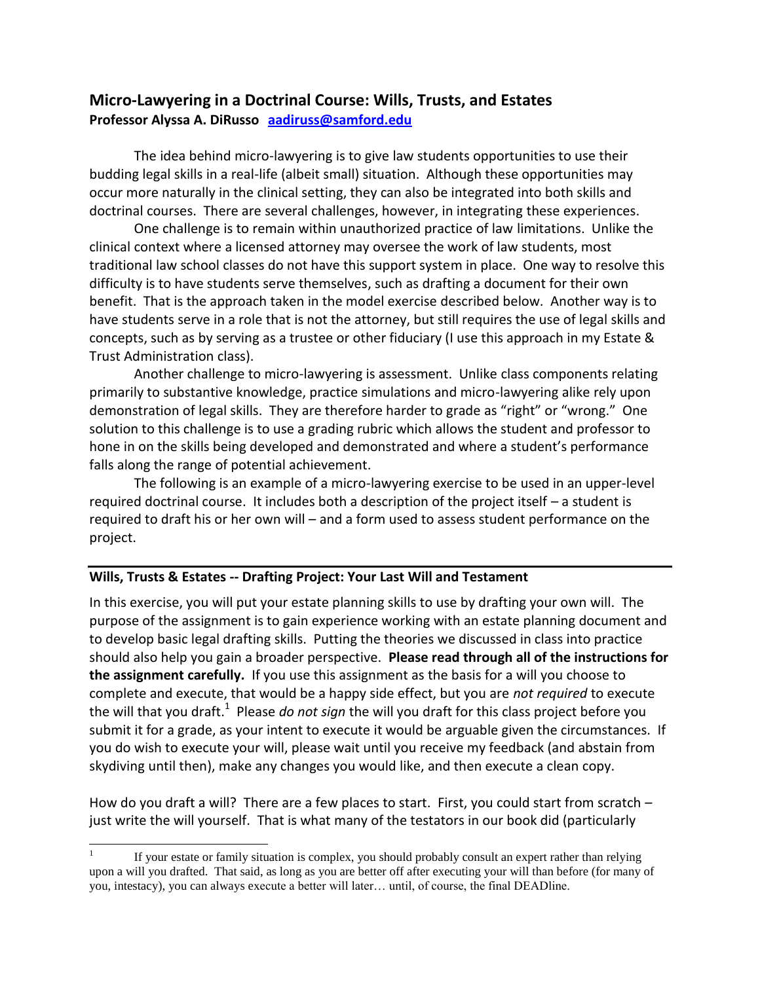# **Micro-Lawyering in a Doctrinal Course: Wills, Trusts, and Estates Professor Alyssa A. DiRusso [aadiruss@samford.edu](mailto:aadiruss@samford.edu)**

The idea behind micro-lawyering is to give law students opportunities to use their budding legal skills in a real-life (albeit small) situation. Although these opportunities may occur more naturally in the clinical setting, they can also be integrated into both skills and doctrinal courses. There are several challenges, however, in integrating these experiences.

One challenge is to remain within unauthorized practice of law limitations. Unlike the clinical context where a licensed attorney may oversee the work of law students, most traditional law school classes do not have this support system in place. One way to resolve this difficulty is to have students serve themselves, such as drafting a document for their own benefit. That is the approach taken in the model exercise described below. Another way is to have students serve in a role that is not the attorney, but still requires the use of legal skills and concepts, such as by serving as a trustee or other fiduciary (I use this approach in my Estate & Trust Administration class).

Another challenge to micro-lawyering is assessment. Unlike class components relating primarily to substantive knowledge, practice simulations and micro-lawyering alike rely upon demonstration of legal skills. They are therefore harder to grade as "right" or "wrong." One solution to this challenge is to use a grading rubric which allows the student and professor to hone in on the skills being developed and demonstrated and where a student's performance falls along the range of potential achievement.

The following is an example of a micro-lawyering exercise to be used in an upper-level required doctrinal course. It includes both a description of the project itself – a student is required to draft his or her own will – and a form used to assess student performance on the project.

## **Wills, Trusts & Estates -- Drafting Project: Your Last Will and Testament**

In this exercise, you will put your estate planning skills to use by drafting your own will. The purpose of the assignment is to gain experience working with an estate planning document and to develop basic legal drafting skills. Putting the theories we discussed in class into practice should also help you gain a broader perspective. **Please read through all of the instructions for the assignment carefully.** If you use this assignment as the basis for a will you choose to complete and execute, that would be a happy side effect, but you are *not required* to execute the will that you draft.<sup>1</sup> Please *do not sign* the will you draft for this class project before you submit it for a grade, as your intent to execute it would be arguable given the circumstances. If you do wish to execute your will, please wait until you receive my feedback (and abstain from skydiving until then), make any changes you would like, and then execute a clean copy.

How do you draft a will? There are a few places to start. First, you could start from scratch – just write the will yourself. That is what many of the testators in our book did (particularly

l 1 If your estate or family situation is complex, you should probably consult an expert rather than relying upon a will you drafted. That said, as long as you are better off after executing your will than before (for many of you, intestacy), you can always execute a better will later… until, of course, the final DEADline.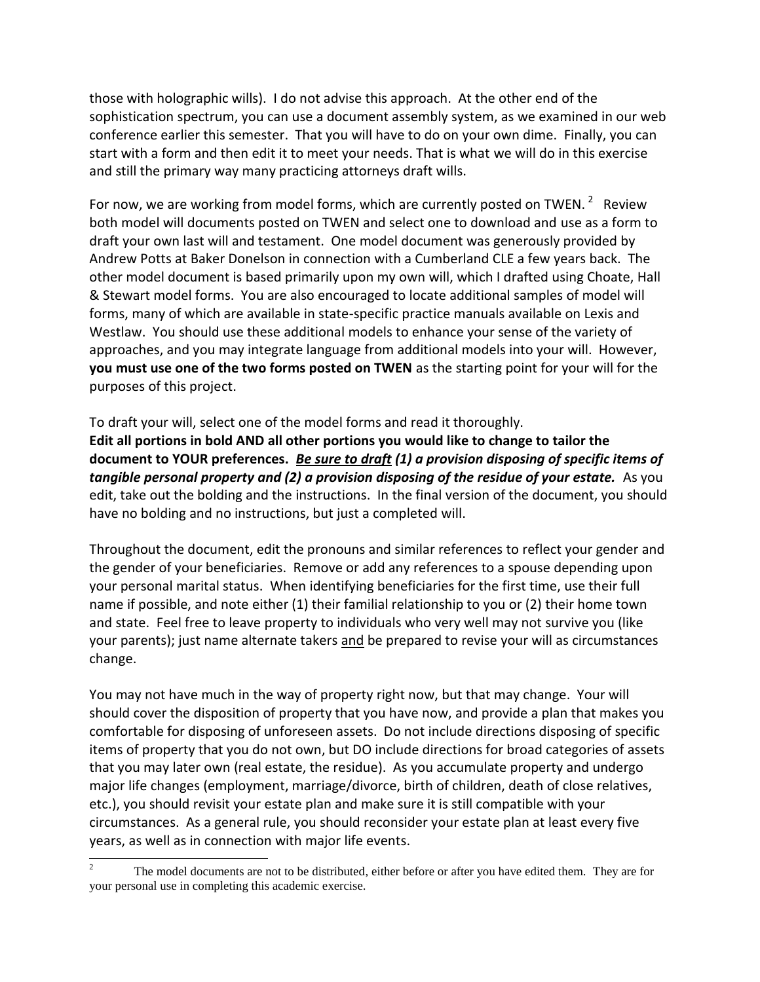those with holographic wills). I do not advise this approach. At the other end of the sophistication spectrum, you can use a document assembly system, as we examined in our web conference earlier this semester. That you will have to do on your own dime. Finally, you can start with a form and then edit it to meet your needs. That is what we will do in this exercise and still the primary way many practicing attorneys draft wills.

For now, we are working from model forms, which are currently posted on TWEN.  $2$  Review both model will documents posted on TWEN and select one to download and use as a form to draft your own last will and testament. One model document was generously provided by Andrew Potts at Baker Donelson in connection with a Cumberland CLE a few years back. The other model document is based primarily upon my own will, which I drafted using Choate, Hall & Stewart model forms. You are also encouraged to locate additional samples of model will forms, many of which are available in state-specific practice manuals available on Lexis and Westlaw. You should use these additional models to enhance your sense of the variety of approaches, and you may integrate language from additional models into your will. However, **you must use one of the two forms posted on TWEN** as the starting point for your will for the purposes of this project.

To draft your will, select one of the model forms and read it thoroughly. **Edit all portions in bold AND all other portions you would like to change to tailor the document to YOUR preferences.** *Be sure to draft (1) a provision disposing of specific items of tangible personal property and (2) a provision disposing of the residue of your estate.* As you edit, take out the bolding and the instructions. In the final version of the document, you should have no bolding and no instructions, but just a completed will.

Throughout the document, edit the pronouns and similar references to reflect your gender and the gender of your beneficiaries. Remove or add any references to a spouse depending upon your personal marital status. When identifying beneficiaries for the first time, use their full name if possible, and note either (1) their familial relationship to you or (2) their home town and state. Feel free to leave property to individuals who very well may not survive you (like your parents); just name alternate takers and be prepared to revise your will as circumstances change.

You may not have much in the way of property right now, but that may change. Your will should cover the disposition of property that you have now, and provide a plan that makes you comfortable for disposing of unforeseen assets. Do not include directions disposing of specific items of property that you do not own, but DO include directions for broad categories of assets that you may later own (real estate, the residue). As you accumulate property and undergo major life changes (employment, marriage/divorce, birth of children, death of close relatives, etc.), you should revisit your estate plan and make sure it is still compatible with your circumstances. As a general rule, you should reconsider your estate plan at least every five years, as well as in connection with major life events.

 $\overline{c}$ The model documents are not to be distributed, either before or after you have edited them. They are for your personal use in completing this academic exercise.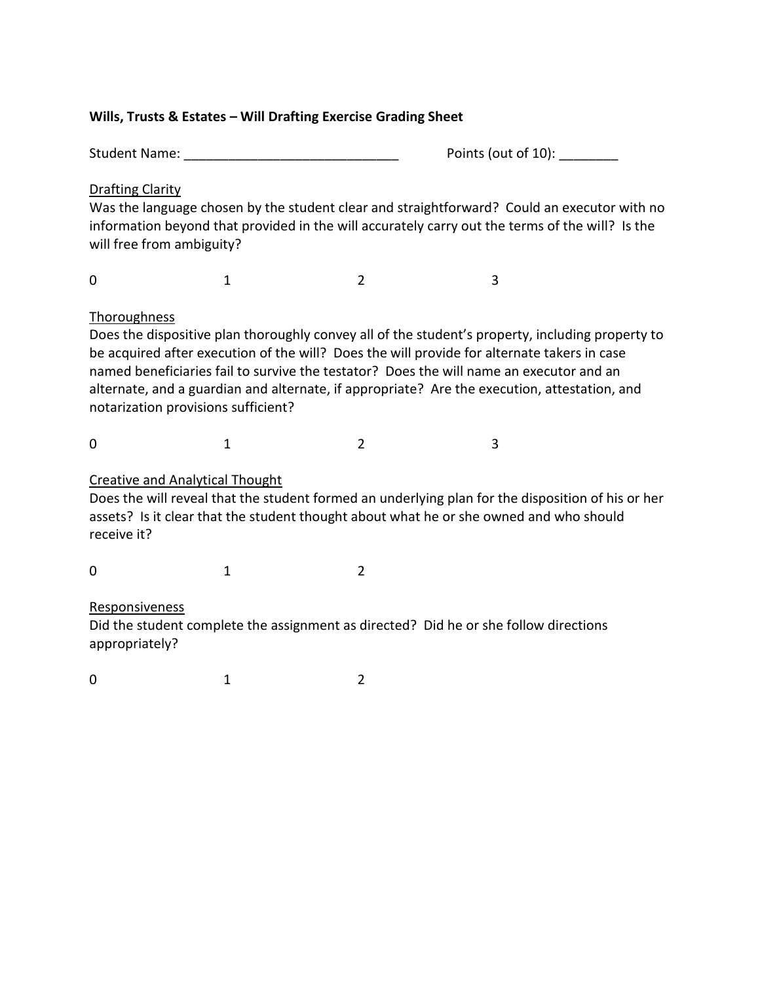# **Wills, Trusts & Estates – Will Drafting Exercise Grading Sheet**

Student Name: \_\_\_\_\_\_\_\_\_\_\_\_\_\_\_\_\_\_\_\_\_\_\_\_\_\_\_\_\_ Points (out of 10): \_\_\_\_\_\_\_\_

# Drafting Clarity

Was the language chosen by the student clear and straightforward? Could an executor with no information beyond that provided in the will accurately carry out the terms of the will? Is the will free from ambiguity?

0 1 2 3

# **Thoroughness**

Does the dispositive plan thoroughly convey all of the student's property, including property to be acquired after execution of the will? Does the will provide for alternate takers in case named beneficiaries fail to survive the testator? Does the will name an executor and an alternate, and a guardian and alternate, if appropriate? Are the execution, attestation, and notarization provisions sufficient?

0 1 2 3

# Creative and Analytical Thought

Does the will reveal that the student formed an underlying plan for the disposition of his or her assets? Is it clear that the student thought about what he or she owned and who should receive it?

0 1 2

# Responsiveness

Did the student complete the assignment as directed? Did he or she follow directions appropriately?

0 1 2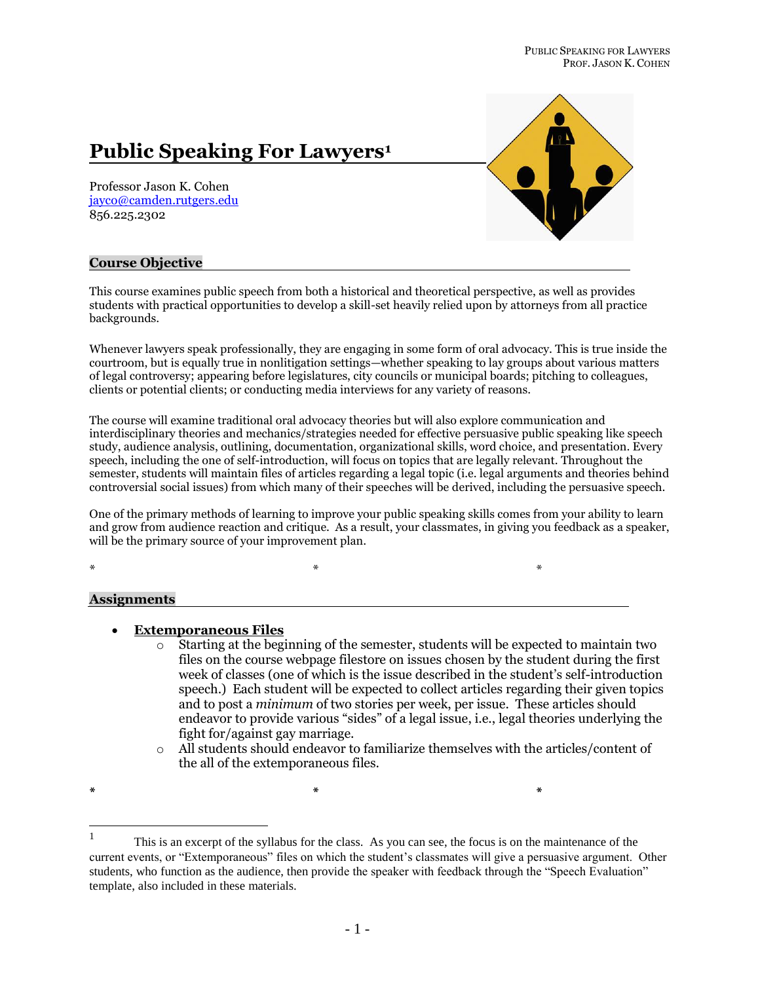# **Public Speaking For Lawyers<sup>1</sup>**

Professor Jason K. Cohen [jayco@camden.rutgers.edu](mailto:jayco@camden.rutgers.edu) 856.225.2302



## **Course Objective**

This course examines public speech from both a historical and theoretical perspective, as well as provides students with practical opportunities to develop a skill-set heavily relied upon by attorneys from all practice backgrounds.

Whenever lawyers speak professionally, they are engaging in some form of oral advocacy. This is true inside the courtroom, but is equally true in nonlitigation settings—whether speaking to lay groups about various matters of legal controversy; appearing before legislatures, city councils or municipal boards; pitching to colleagues, clients or potential clients; or conducting media interviews for any variety of reasons.

The course will examine traditional oral advocacy theories but will also explore communication and interdisciplinary theories and mechanics/strategies needed for effective persuasive public speaking like speech study, audience analysis, outlining, documentation, organizational skills, word choice, and presentation. Every speech, including the one of self-introduction, will focus on topics that are legally relevant. Throughout the semester, students will maintain files of articles regarding a legal topic (i.e. legal arguments and theories behind controversial social issues) from which many of their speeches will be derived, including the persuasive speech.

One of the primary methods of learning to improve your public speaking skills comes from your ability to learn and grow from audience reaction and critique. As a result, your classmates, in giving you feedback as a speaker, will be the primary source of your improvement plan.

\* \* \*

#### **Assignments**

#### **Extemporaneous Files**

- $\circ$  Starting at the beginning of the semester, students will be expected to maintain two files on the course webpage filestore on issues chosen by the student during the first week of classes (one of which is the issue described in the student's self-introduction speech.) Each student will be expected to collect articles regarding their given topics and to post a *minimum* of two stories per week, per issue. These articles should endeavor to provide various "sides" of a legal issue, i.e., legal theories underlying the fight for/against gay marriage.
- o All students should endeavor to familiarize themselves with the articles/content of the all of the extemporaneous files.

**\* \* \***

 $\frac{1}{1}$ This is an excerpt of the syllabus for the class. As you can see, the focus is on the maintenance of the current events, or "Extemporaneous" files on which the student's classmates will give a persuasive argument. Other students, who function as the audience, then provide the speaker with feedback through the "Speech Evaluation" template, also included in these materials.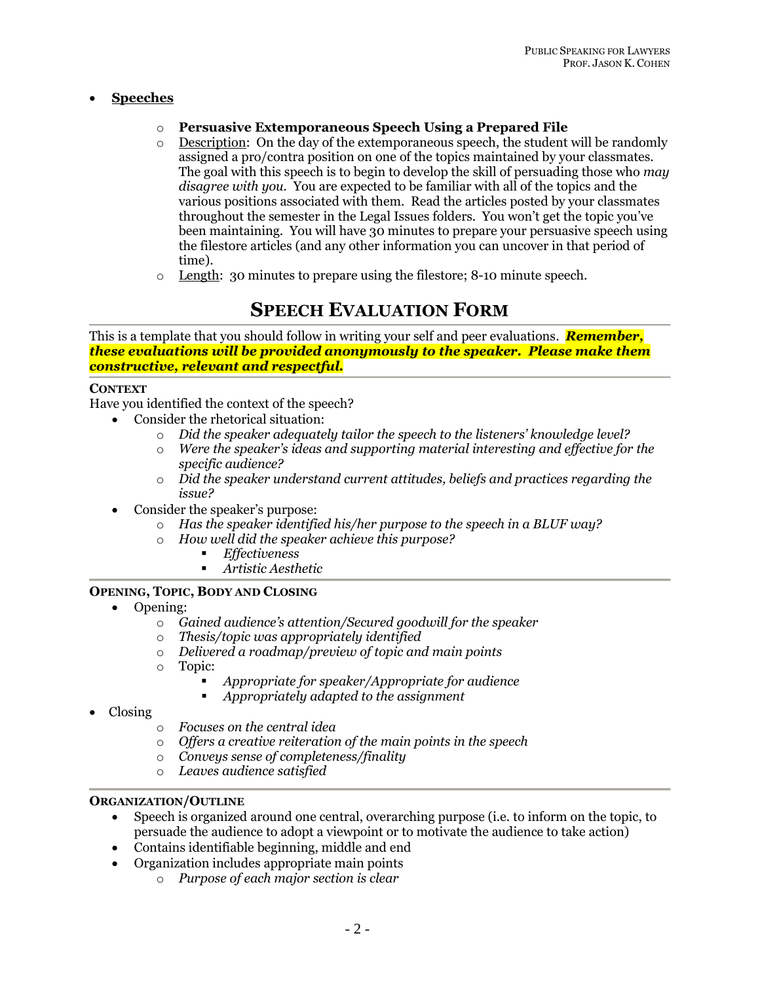## **Speeches**

- o **Persuasive Extemporaneous Speech Using a Prepared File**
- o Description: On the day of the extemporaneous speech, the student will be randomly assigned a pro/contra position on one of the topics maintained by your classmates. The goal with this speech is to begin to develop the skill of persuading those who *may disagree with you.* You are expected to be familiar with all of the topics and the various positions associated with them. Read the articles posted by your classmates throughout the semester in the Legal Issues folders. You won't get the topic you've been maintaining. You will have 30 minutes to prepare your persuasive speech using the filestore articles (and any other information you can uncover in that period of time).
- o Length: 30 minutes to prepare using the filestore; 8-10 minute speech.

# **SPEECH EVALUATION FORM**

This is a template that you should follow in writing your self and peer evaluations. *Remember, these evaluations will be provided anonymously to the speaker. Please make them constructive, relevant and respectful.*

## **CONTEXT**

Have you identified the context of the speech?

- Consider the rhetorical situation:
	- o *Did the speaker adequately tailor the speech to the listeners' knowledge level?*
	- o *Were the speaker's ideas and supporting material interesting and effective for the specific audience?*
	- o *Did the speaker understand current attitudes, beliefs and practices regarding the issue?*
- Consider the speaker's purpose:
	- o *Has the speaker identified his/her purpose to the speech in a BLUF way?*
	- o *How well did the speaker achieve this purpose?*
		- *Effectiveness*
		- *Artistic Aesthetic*

## **OPENING, TOPIC, BODY AND CLOSING**

- Opening:
	- o *Gained audience's attention/Secured goodwill for the speaker*
	- o *Thesis/topic was appropriately identified*
	- o *Delivered a roadmap/preview of topic and main points*
	- o Topic:
		- *Appropriate for speaker/Appropriate for audience*
		- *Appropriately adapted to the assignment*
- Closing
	- o *Focuses on the central idea*
	- o *Offers a creative reiteration of the main points in the speech*
	- o *Conveys sense of completeness/finality*
	- o *Leaves audience satisfied*

## **ORGANIZATION/OUTLINE**

- Speech is organized around one central, overarching purpose (i.e. to inform on the topic, to persuade the audience to adopt a viewpoint or to motivate the audience to take action)
- Contains identifiable beginning, middle and end
- Organization includes appropriate main points
	- o *Purpose of each major section is clear*